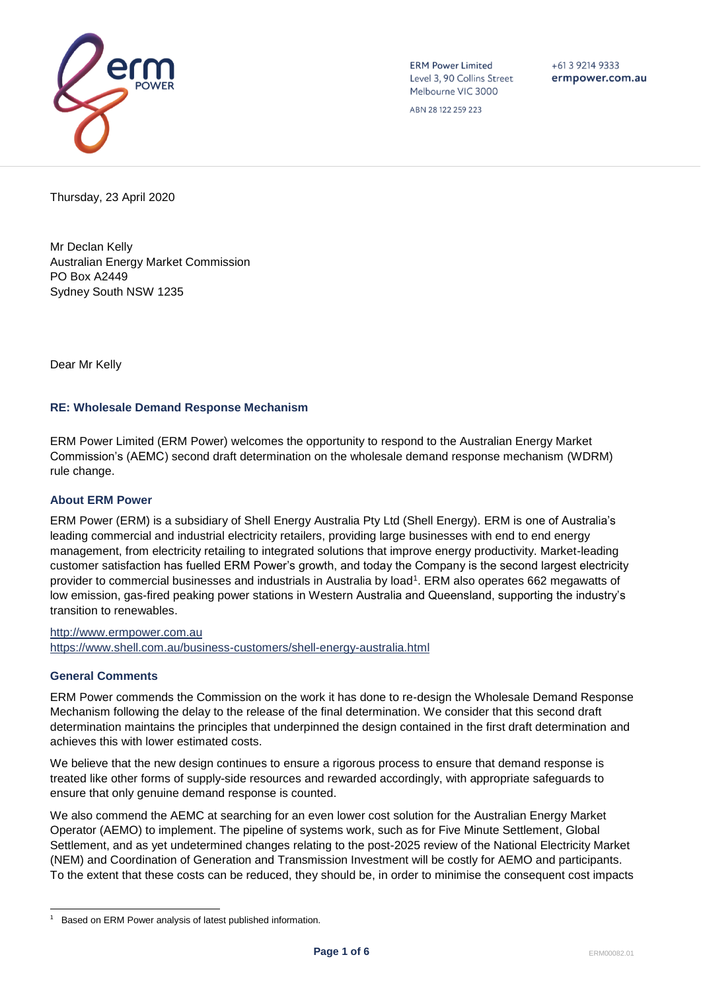

**ERM Power Limited** Level 3, 90 Collins Street Melbourne VIC 3000

 $+61392149333$ ermpower.com.au

ABN 28 122 259 223

Thursday, 23 April 2020

Mr Declan Kelly Australian Energy Market Commission PO Box A2449 Sydney South NSW 1235

Dear Mr Kelly

# **RE: Wholesale Demand Response Mechanism**

ERM Power Limited (ERM Power) welcomes the opportunity to respond to the Australian Energy Market Commission's (AEMC) second draft determination on the wholesale demand response mechanism (WDRM) rule change.

# **About ERM Power**

ERM Power (ERM) is a subsidiary of Shell Energy Australia Pty Ltd (Shell Energy). ERM is one of Australia's leading commercial and industrial electricity retailers, providing large businesses with end to end energy management, from electricity retailing to integrated solutions that improve energy productivity. Market-leading customer satisfaction has fuelled ERM Power's growth, and today the Company is the second largest electricity provider to commercial businesses and industrials in Australia by load<sup>1</sup> . ERM also operates 662 megawatts of low emission, gas-fired peaking power stations in Western Australia and Queensland, supporting the industry's transition to renewables.

[http://www.ermpower.com.au](http://www.ermpower.com.au/) <https://www.shell.com.au/business-customers/shell-energy-australia.html>

#### **General Comments**

ERM Power commends the Commission on the work it has done to re-design the Wholesale Demand Response Mechanism following the delay to the release of the final determination. We consider that this second draft determination maintains the principles that underpinned the design contained in the first draft determination and achieves this with lower estimated costs.

We believe that the new design continues to ensure a rigorous process to ensure that demand response is treated like other forms of supply-side resources and rewarded accordingly, with appropriate safeguards to ensure that only genuine demand response is counted.

We also commend the AEMC at searching for an even lower cost solution for the Australian Energy Market Operator (AEMO) to implement. The pipeline of systems work, such as for Five Minute Settlement, Global Settlement, and as yet undetermined changes relating to the post-2025 review of the National Electricity Market (NEM) and Coordination of Generation and Transmission Investment will be costly for AEMO and participants. To the extent that these costs can be reduced, they should be, in order to minimise the consequent cost impacts

<sup>1</sup> Based on ERM Power analysis of latest published information.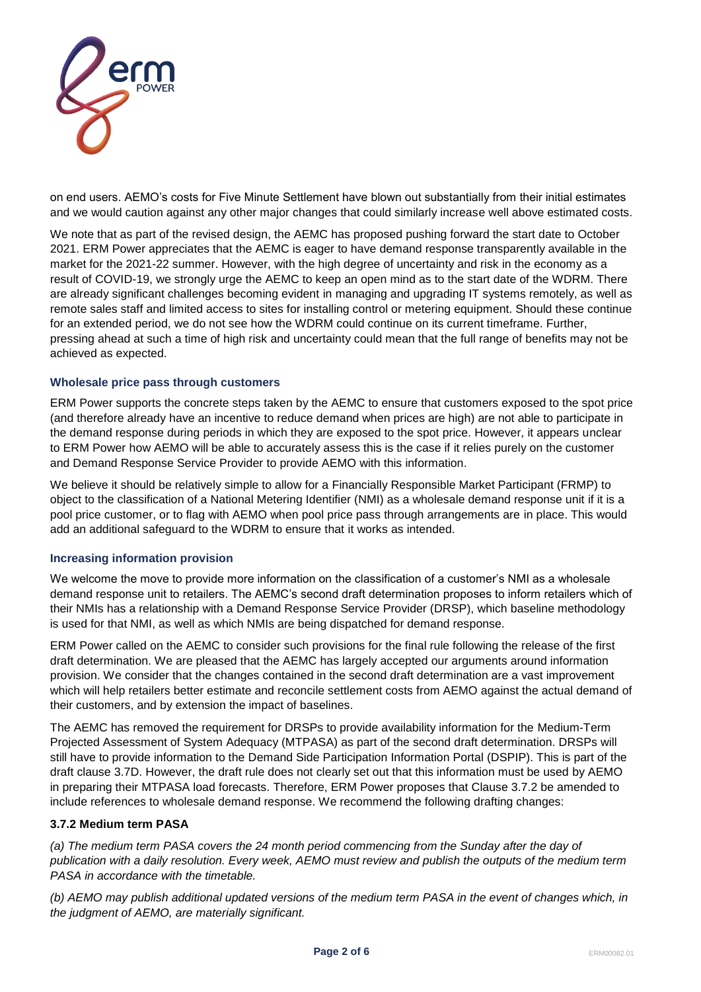

on end users. AEMO's costs for Five Minute Settlement have blown out substantially from their initial estimates and we would caution against any other major changes that could similarly increase well above estimated costs.

We note that as part of the revised design, the AEMC has proposed pushing forward the start date to October 2021. ERM Power appreciates that the AEMC is eager to have demand response transparently available in the market for the 2021-22 summer. However, with the high degree of uncertainty and risk in the economy as a result of COVID-19, we strongly urge the AEMC to keep an open mind as to the start date of the WDRM. There are already significant challenges becoming evident in managing and upgrading IT systems remotely, as well as remote sales staff and limited access to sites for installing control or metering equipment. Should these continue for an extended period, we do not see how the WDRM could continue on its current timeframe. Further, pressing ahead at such a time of high risk and uncertainty could mean that the full range of benefits may not be achieved as expected.

# **Wholesale price pass through customers**

ERM Power supports the concrete steps taken by the AEMC to ensure that customers exposed to the spot price (and therefore already have an incentive to reduce demand when prices are high) are not able to participate in the demand response during periods in which they are exposed to the spot price. However, it appears unclear to ERM Power how AEMO will be able to accurately assess this is the case if it relies purely on the customer and Demand Response Service Provider to provide AEMO with this information.

We believe it should be relatively simple to allow for a Financially Responsible Market Participant (FRMP) to object to the classification of a National Metering Identifier (NMI) as a wholesale demand response unit if it is a pool price customer, or to flag with AEMO when pool price pass through arrangements are in place. This would add an additional safeguard to the WDRM to ensure that it works as intended.

#### **Increasing information provision**

We welcome the move to provide more information on the classification of a customer's NMI as a wholesale demand response unit to retailers. The AEMC's second draft determination proposes to inform retailers which of their NMIs has a relationship with a Demand Response Service Provider (DRSP), which baseline methodology is used for that NMI, as well as which NMIs are being dispatched for demand response.

ERM Power called on the AEMC to consider such provisions for the final rule following the release of the first draft determination. We are pleased that the AEMC has largely accepted our arguments around information provision. We consider that the changes contained in the second draft determination are a vast improvement which will help retailers better estimate and reconcile settlement costs from AEMO against the actual demand of their customers, and by extension the impact of baselines.

The AEMC has removed the requirement for DRSPs to provide availability information for the Medium-Term Projected Assessment of System Adequacy (MTPASA) as part of the second draft determination. DRSPs will still have to provide information to the Demand Side Participation Information Portal (DSPIP). This is part of the draft clause 3.7D. However, the draft rule does not clearly set out that this information must be used by AEMO in preparing their MTPASA load forecasts. Therefore, ERM Power proposes that Clause 3.7.2 be amended to include references to wholesale demand response. We recommend the following drafting changes:

#### **3.7.2 Medium term PASA**

*(a) The medium term PASA covers the 24 month period commencing from the Sunday after the day of publication with a daily resolution. Every week, AEMO must review and publish the outputs of the medium term PASA in accordance with the timetable.*

*(b) AEMO may publish additional updated versions of the medium term PASA in the event of changes which, in the judgment of AEMO, are materially significant.*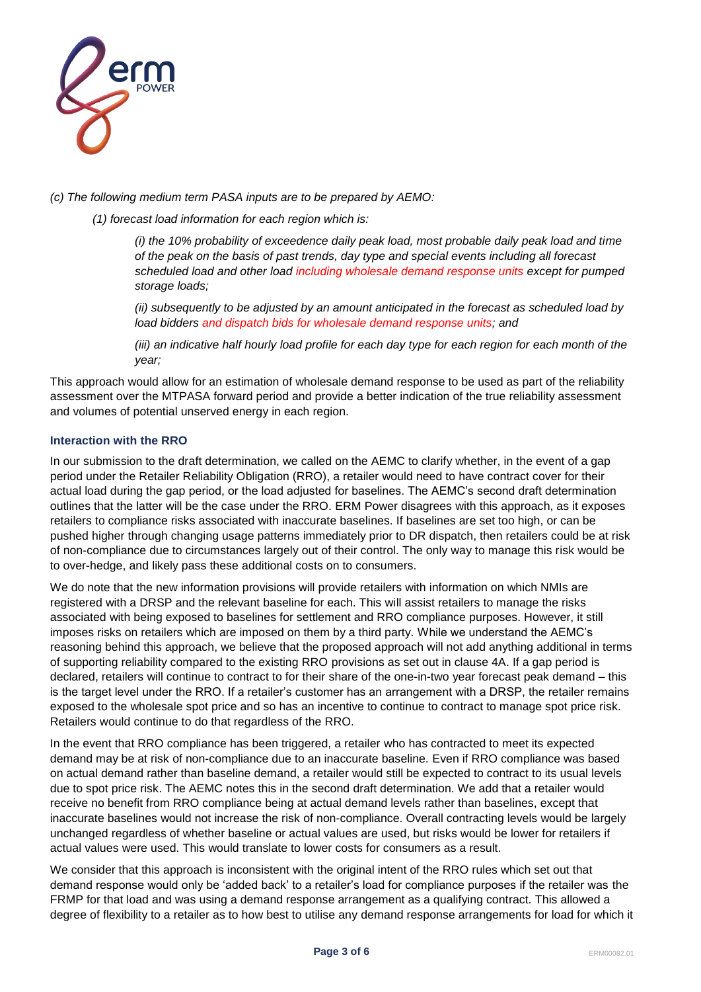

*(c) The following medium term PASA inputs are to be prepared by AEMO:*

*(1) forecast load information for each region which is:*

*(i) the 10% probability of exceedence daily peak load, most probable daily peak load and time of the peak on the basis of past trends, day type and special events including all forecast scheduled load and other load including wholesale demand response units except for pumped storage loads;*

*(ii) subsequently to be adjusted by an amount anticipated in the forecast as scheduled load by load bidders and dispatch bids for wholesale demand response units; and*

*(iii) an indicative half hourly load profile for each day type for each region for each month of the year;*

This approach would allow for an estimation of wholesale demand response to be used as part of the reliability assessment over the MTPASA forward period and provide a better indication of the true reliability assessment and volumes of potential unserved energy in each region.

# **Interaction with the RRO**

In our submission to the draft determination, we called on the AEMC to clarify whether, in the event of a gap period under the Retailer Reliability Obligation (RRO), a retailer would need to have contract cover for their actual load during the gap period, or the load adjusted for baselines. The AEMC's second draft determination outlines that the latter will be the case under the RRO. ERM Power disagrees with this approach, as it exposes retailers to compliance risks associated with inaccurate baselines. If baselines are set too high, or can be pushed higher through changing usage patterns immediately prior to DR dispatch, then retailers could be at risk of non-compliance due to circumstances largely out of their control. The only way to manage this risk would be to over-hedge, and likely pass these additional costs on to consumers.

We do note that the new information provisions will provide retailers with information on which NMIs are registered with a DRSP and the relevant baseline for each. This will assist retailers to manage the risks associated with being exposed to baselines for settlement and RRO compliance purposes. However, it still imposes risks on retailers which are imposed on them by a third party. While we understand the AEMC's reasoning behind this approach, we believe that the proposed approach will not add anything additional in terms of supporting reliability compared to the existing RRO provisions as set out in clause 4A. If a gap period is declared, retailers will continue to contract to for their share of the one-in-two year forecast peak demand – this is the target level under the RRO. If a retailer's customer has an arrangement with a DRSP, the retailer remains exposed to the wholesale spot price and so has an incentive to continue to contract to manage spot price risk. Retailers would continue to do that regardless of the RRO.

In the event that RRO compliance has been triggered, a retailer who has contracted to meet its expected demand may be at risk of non-compliance due to an inaccurate baseline. Even if RRO compliance was based on actual demand rather than baseline demand, a retailer would still be expected to contract to its usual levels due to spot price risk. The AEMC notes this in the second draft determination. We add that a retailer would receive no benefit from RRO compliance being at actual demand levels rather than baselines, except that inaccurate baselines would not increase the risk of non-compliance. Overall contracting levels would be largely unchanged regardless of whether baseline or actual values are used, but risks would be lower for retailers if actual values were used. This would translate to lower costs for consumers as a result.

We consider that this approach is inconsistent with the original intent of the RRO rules which set out that demand response would only be 'added back' to a retailer's load for compliance purposes if the retailer was the FRMP for that load and was using a demand response arrangement as a qualifying contract. This allowed a degree of flexibility to a retailer as to how best to utilise any demand response arrangements for load for which it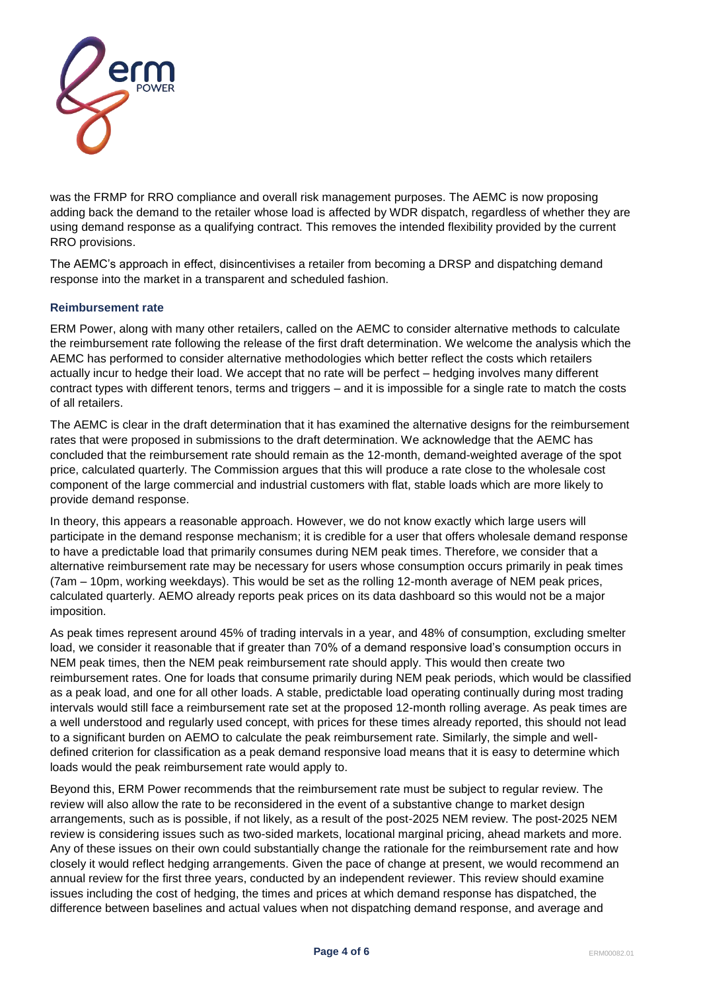

was the FRMP for RRO compliance and overall risk management purposes. The AEMC is now proposing adding back the demand to the retailer whose load is affected by WDR dispatch, regardless of whether they are using demand response as a qualifying contract. This removes the intended flexibility provided by the current RRO provisions.

The AEMC's approach in effect, disincentivises a retailer from becoming a DRSP and dispatching demand response into the market in a transparent and scheduled fashion.

#### **Reimbursement rate**

ERM Power, along with many other retailers, called on the AEMC to consider alternative methods to calculate the reimbursement rate following the release of the first draft determination. We welcome the analysis which the AEMC has performed to consider alternative methodologies which better reflect the costs which retailers actually incur to hedge their load. We accept that no rate will be perfect – hedging involves many different contract types with different tenors, terms and triggers – and it is impossible for a single rate to match the costs of all retailers.

The AEMC is clear in the draft determination that it has examined the alternative designs for the reimbursement rates that were proposed in submissions to the draft determination. We acknowledge that the AEMC has concluded that the reimbursement rate should remain as the 12-month, demand-weighted average of the spot price, calculated quarterly. The Commission argues that this will produce a rate close to the wholesale cost component of the large commercial and industrial customers with flat, stable loads which are more likely to provide demand response.

In theory, this appears a reasonable approach. However, we do not know exactly which large users will participate in the demand response mechanism; it is credible for a user that offers wholesale demand response to have a predictable load that primarily consumes during NEM peak times. Therefore, we consider that a alternative reimbursement rate may be necessary for users whose consumption occurs primarily in peak times (7am – 10pm, working weekdays). This would be set as the rolling 12-month average of NEM peak prices, calculated quarterly. AEMO already reports peak prices on its data dashboard so this would not be a major imposition.

As peak times represent around 45% of trading intervals in a year, and 48% of consumption, excluding smelter load, we consider it reasonable that if greater than 70% of a demand responsive load's consumption occurs in NEM peak times, then the NEM peak reimbursement rate should apply. This would then create two reimbursement rates. One for loads that consume primarily during NEM peak periods, which would be classified as a peak load, and one for all other loads. A stable, predictable load operating continually during most trading intervals would still face a reimbursement rate set at the proposed 12-month rolling average. As peak times are a well understood and regularly used concept, with prices for these times already reported, this should not lead to a significant burden on AEMO to calculate the peak reimbursement rate. Similarly, the simple and welldefined criterion for classification as a peak demand responsive load means that it is easy to determine which loads would the peak reimbursement rate would apply to.

Beyond this, ERM Power recommends that the reimbursement rate must be subject to regular review. The review will also allow the rate to be reconsidered in the event of a substantive change to market design arrangements, such as is possible, if not likely, as a result of the post-2025 NEM review. The post-2025 NEM review is considering issues such as two-sided markets, locational marginal pricing, ahead markets and more. Any of these issues on their own could substantially change the rationale for the reimbursement rate and how closely it would reflect hedging arrangements. Given the pace of change at present, we would recommend an annual review for the first three years, conducted by an independent reviewer. This review should examine issues including the cost of hedging, the times and prices at which demand response has dispatched, the difference between baselines and actual values when not dispatching demand response, and average and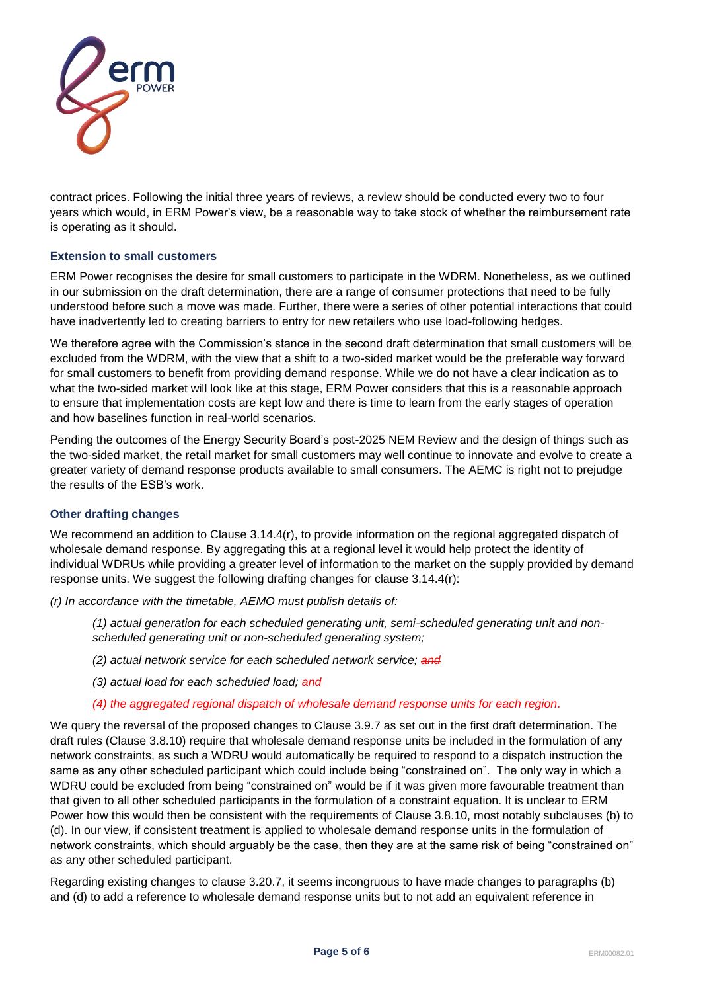

contract prices. Following the initial three years of reviews, a review should be conducted every two to four years which would, in ERM Power's view, be a reasonable way to take stock of whether the reimbursement rate is operating as it should.

# **Extension to small customers**

ERM Power recognises the desire for small customers to participate in the WDRM. Nonetheless, as we outlined in our submission on the draft determination, there are a range of consumer protections that need to be fully understood before such a move was made. Further, there were a series of other potential interactions that could have inadvertently led to creating barriers to entry for new retailers who use load-following hedges.

We therefore agree with the Commission's stance in the second draft determination that small customers will be excluded from the WDRM, with the view that a shift to a two-sided market would be the preferable way forward for small customers to benefit from providing demand response. While we do not have a clear indication as to what the two-sided market will look like at this stage, ERM Power considers that this is a reasonable approach to ensure that implementation costs are kept low and there is time to learn from the early stages of operation and how baselines function in real-world scenarios.

Pending the outcomes of the Energy Security Board's post-2025 NEM Review and the design of things such as the two-sided market, the retail market for small customers may well continue to innovate and evolve to create a greater variety of demand response products available to small consumers. The AEMC is right not to prejudge the results of the ESB's work.

# **Other drafting changes**

We recommend an addition to Clause 3.14.4(r), to provide information on the regional aggregated dispatch of wholesale demand response. By aggregating this at a regional level it would help protect the identity of individual WDRUs while providing a greater level of information to the market on the supply provided by demand response units. We suggest the following drafting changes for clause 3.14.4(r):

*(r) In accordance with the timetable, AEMO must publish details of:* 

*(1) actual generation for each scheduled generating unit, semi-scheduled generating unit and nonscheduled generating unit or non-scheduled generating system;*

- *(2) actual network service for each scheduled network service; and*
- *(3) actual load for each scheduled load; and*

# *(4) the aggregated regional dispatch of wholesale demand response units for each region.*

We query the reversal of the proposed changes to Clause 3.9.7 as set out in the first draft determination. The draft rules (Clause 3.8.10) require that wholesale demand response units be included in the formulation of any network constraints, as such a WDRU would automatically be required to respond to a dispatch instruction the same as any other scheduled participant which could include being "constrained on". The only way in which a WDRU could be excluded from being "constrained on" would be if it was given more favourable treatment than that given to all other scheduled participants in the formulation of a constraint equation. It is unclear to ERM Power how this would then be consistent with the requirements of Clause 3.8.10, most notably subclauses (b) to (d). In our view, if consistent treatment is applied to wholesale demand response units in the formulation of network constraints, which should arguably be the case, then they are at the same risk of being "constrained on" as any other scheduled participant.

Regarding existing changes to clause 3.20.7, it seems incongruous to have made changes to paragraphs (b) and (d) to add a reference to wholesale demand response units but to not add an equivalent reference in